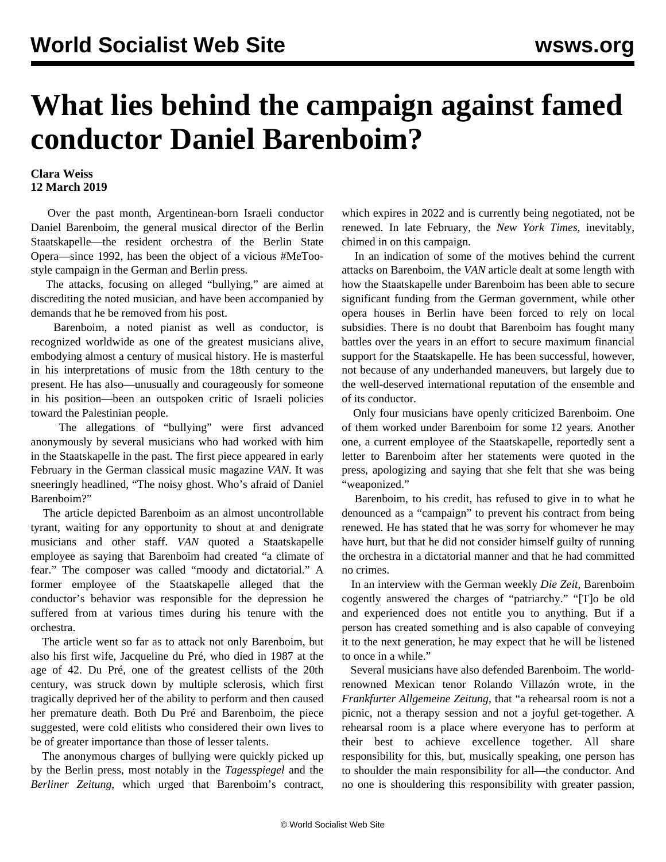## **What lies behind the campaign against famed conductor Daniel Barenboim?**

## **Clara Weiss 12 March 2019**

 Over the past month, Argentinean-born Israeli conductor Daniel Barenboim, the general musical director of the Berlin Staatskapelle—the resident orchestra of the Berlin State Opera—since 1992, has been the object of a vicious #MeToostyle campaign in the German and Berlin press.

 The attacks, focusing on alleged "bullying," are aimed at discrediting the noted musician, and have been accompanied by demands that he be removed from his post.

 Barenboim, a noted pianist as well as conductor, is recognized worldwide as one of the greatest musicians alive, embodying almost a century of musical history. He is masterful in his interpretations of music from the 18th century to the present. He has also—unusually and courageously for someone in his position—been an outspoken critic of Israeli policies toward the Palestinian people.

 The allegations of "bullying" were first advanced anonymously by several musicians who had worked with him in the Staatskapelle in the past. The first piece appeared in early February in the German classical music magazine *VAN*. It was sneeringly headlined, "The noisy ghost. Who's afraid of Daniel Barenboim?"

 The article depicted Barenboim as an almost uncontrollable tyrant, waiting for any opportunity to shout at and denigrate musicians and other staff. *VAN* quoted a Staatskapelle employee as saying that Barenboim had created "a climate of fear." The composer was called "moody and dictatorial." A former employee of the Staatskapelle alleged that the conductor's behavior was responsible for the depression he suffered from at various times during his tenure with the orchestra.

 The article went so far as to attack not only Barenboim, but also his first wife, Jacqueline du Pré, who died in 1987 at the age of 42. Du Pré, one of the greatest cellists of the 20th century, was struck down by multiple sclerosis, which first tragically deprived her of the ability to perform and then caused her premature death. Both Du Pré and Barenboim, the piece suggested, were cold elitists who considered their own lives to be of greater importance than those of lesser talents.

 The anonymous charges of bullying were quickly picked up by the Berlin press, most notably in the *Tagesspiegel* and the *Berliner Zeitung*, which urged that Barenboim's contract, which expires in 2022 and is currently being negotiated, not be renewed. In late February, the *New York Times*, inevitably, chimed in on this campaign.

 In an indication of some of the motives behind the current attacks on Barenboim, the *VAN* article dealt at some length with how the Staatskapelle under Barenboim has been able to secure significant funding from the German government, while other opera houses in Berlin have been forced to rely on local subsidies. There is no doubt that Barenboim has fought many battles over the years in an effort to secure maximum financial support for the Staatskapelle. He has been successful, however, not because of any underhanded maneuvers, but largely due to the well-deserved international reputation of the ensemble and of its conductor.

 Only four musicians have openly criticized Barenboim. One of them worked under Barenboim for some 12 years. Another one, a current employee of the Staatskapelle, reportedly sent a letter to Barenboim after her statements were quoted in the press, apologizing and saying that she felt that she was being "weaponized."

 Barenboim, to his credit, has refused to give in to what he denounced as a "campaign" to prevent his contract from being renewed. He has stated that he was sorry for whomever he may have hurt, but that he did not consider himself guilty of running the orchestra in a dictatorial manner and that he had committed no crimes.

 In an interview with the German weekly *Die Zeit*, Barenboim cogently answered the charges of "patriarchy." "[T]o be old and experienced does not entitle you to anything. But if a person has created something and is also capable of conveying it to the next generation, he may expect that he will be listened to once in a while."

 Several musicians have also defended Barenboim. The worldrenowned Mexican tenor Rolando Villazón wrote, in the *Frankfurter Allgemeine Zeitung*, that "a rehearsal room is not a picnic, not a therapy session and not a joyful get-together. A rehearsal room is a place where everyone has to perform at their best to achieve excellence together. All share responsibility for this, but, musically speaking, one person has to shoulder the main responsibility for all—the conductor. And no one is shouldering this responsibility with greater passion,